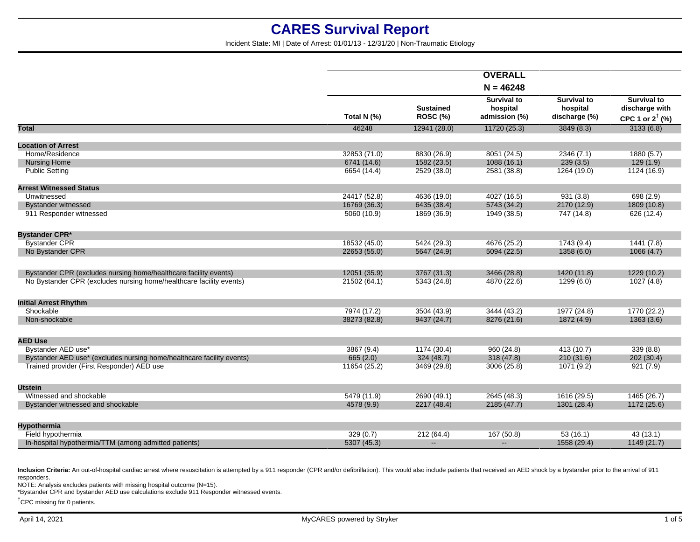Incident State: MI | Date of Arrest: 01/01/13 - 12/31/20 | Non-Traumatic Etiology

|                                                                       |              |                                     | <b>OVERALL</b>                                  |                                                 |                                                                    |
|-----------------------------------------------------------------------|--------------|-------------------------------------|-------------------------------------------------|-------------------------------------------------|--------------------------------------------------------------------|
|                                                                       |              |                                     | $N = 46248$                                     |                                                 |                                                                    |
|                                                                       | Total N (%)  | <b>Sustained</b><br><b>ROSC (%)</b> | <b>Survival to</b><br>hospital<br>admission (%) | <b>Survival to</b><br>hospital<br>discharge (%) | <b>Survival to</b><br>discharge with<br>CPC 1 or $2^{\dagger}$ (%) |
| <b>Total</b>                                                          | 46248        | 12941 (28.0)                        | 11720 (25.3)                                    | 3849(8.3)                                       | 3133(6.8)                                                          |
| <b>Location of Arrest</b>                                             |              |                                     |                                                 |                                                 |                                                                    |
| Home/Residence                                                        | 32853 (71.0) | 8830 (26.9)                         | 8051 (24.5)                                     | 2346 (7.1)                                      | 1880 (5.7)                                                         |
| <b>Nursing Home</b>                                                   | 6741 (14.6)  | 1582 (23.5)                         | 1088(16.1)                                      | 239(3.5)                                        | 129(1.9)                                                           |
| <b>Public Setting</b>                                                 | 6654 (14.4)  | 2529 (38.0)                         | 2581 (38.8)                                     | 1264 (19.0)                                     | 1124 (16.9)                                                        |
| <b>Arrest Witnessed Status</b>                                        |              |                                     |                                                 |                                                 |                                                                    |
| Unwitnessed                                                           | 24417 (52.8) | 4636 (19.0)                         | 4027 (16.5)                                     | 931(3.8)                                        | 698(2.9)                                                           |
| <b>Bystander witnessed</b>                                            | 16769 (36.3) | 6435 (38.4)                         | 5743 (34.2)                                     | 2170 (12.9)                                     | 1809 (10.8)                                                        |
| 911 Responder witnessed                                               | 5060 (10.9)  | 1869 (36.9)                         | 1949 (38.5)                                     | 747 (14.8)                                      | 626 (12.4)                                                         |
| <b>Bystander CPR*</b>                                                 |              |                                     |                                                 |                                                 |                                                                    |
| <b>Bystander CPR</b>                                                  | 18532 (45.0) | 5424 (29.3)                         | 4676 (25.2)                                     | 1743(9.4)                                       | 1441(7.8)                                                          |
| No Bystander CPR                                                      | 22653 (55.0) | 5647 (24.9)                         | 5094 (22.5)                                     | 1358 (6.0)                                      | 1066 (4.7)                                                         |
|                                                                       |              |                                     |                                                 |                                                 |                                                                    |
| Bystander CPR (excludes nursing home/healthcare facility events)      | 12051 (35.9) | 3767 (31.3)                         | 3466 (28.8)                                     | 1420 (11.8)                                     | 1229 (10.2)                                                        |
| No Bystander CPR (excludes nursing home/healthcare facility events)   | 21502 (64.1) | 5343 (24.8)                         | 4870 (22.6)                                     | 1299(6.0)                                       | 1027(4.8)                                                          |
| <b>Initial Arrest Rhythm</b>                                          |              |                                     |                                                 |                                                 |                                                                    |
| Shockable                                                             | 7974 (17.2)  | 3504 (43.9)                         | 3444 (43.2)                                     | 1977 (24.8)                                     | 1770 (22.2)                                                        |
| Non-shockable                                                         | 38273 (82.8) | 9437 (24.7)                         | 8276 (21.6)                                     | 1872 (4.9)                                      | 1363(3.6)                                                          |
|                                                                       |              |                                     |                                                 |                                                 |                                                                    |
| <b>AED Use</b>                                                        |              |                                     |                                                 |                                                 |                                                                    |
| Bystander AED use*                                                    | 3867 (9.4)   | 1174 (30.4)                         | 960 (24.8)                                      | 413 (10.7)                                      | 339(8.8)                                                           |
| Bystander AED use* (excludes nursing home/healthcare facility events) | 665(2.0)     | 324 (48.7)                          | 318(47.8)                                       | 210 (31.6)                                      | 202(30.4)                                                          |
| Trained provider (First Responder) AED use                            | 11654 (25.2) | 3469 (29.8)                         | 3006 (25.8)                                     | 1071 (9.2)                                      | 921(7.9)                                                           |
| <b>Utstein</b>                                                        |              |                                     |                                                 |                                                 |                                                                    |
| Witnessed and shockable                                               | 5479 (11.9)  | 2690 (49.1)                         | 2645 (48.3)                                     | 1616 (29.5)                                     | 1465 (26.7)                                                        |
| Bystander witnessed and shockable                                     | 4578 (9.9)   | 2217 (48.4)                         | 2185 (47.7)                                     | 1301 (28.4)                                     | 1172 (25.6)                                                        |
|                                                                       |              |                                     |                                                 |                                                 |                                                                    |
| <b>Hypothermia</b>                                                    |              |                                     |                                                 |                                                 |                                                                    |
| Field hypothermia                                                     | 329(0.7)     | 212 (64.4)                          | 167 (50.8)                                      | 53(16.1)                                        | 43(13.1)                                                           |
| In-hospital hypothermia/TTM (among admitted patients)                 | 5307 (45.3)  | $\mathbf{u}$                        | $\sim$                                          | 1558 (29.4)                                     | 1149 (21.7)                                                        |
|                                                                       |              |                                     |                                                 |                                                 |                                                                    |

Inclusion Criteria: An out-of-hospital cardiac arrest where resuscitation is attempted by a 911 responder (CPR and/or defibrillation). This would also include patients that received an AED shock by a bystander prior to the responders.

NOTE: Analysis excludes patients with missing hospital outcome (N=15).

\*Bystander CPR and bystander AED use calculations exclude 911 Responder witnessed events.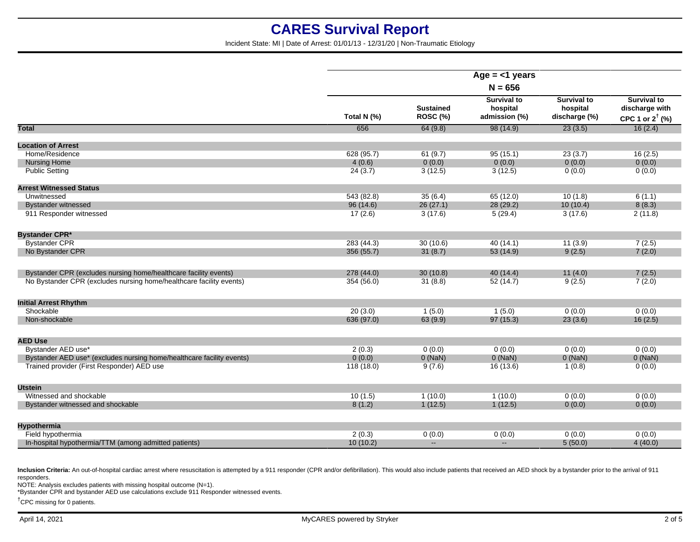Incident State: MI | Date of Arrest: 01/01/13 - 12/31/20 | Non-Traumatic Etiology

|                                                                       | Age $=$ <1 years |                                     |                                                 |                                                 |                                                                    |  |
|-----------------------------------------------------------------------|------------------|-------------------------------------|-------------------------------------------------|-------------------------------------------------|--------------------------------------------------------------------|--|
|                                                                       | $N = 656$        |                                     |                                                 |                                                 |                                                                    |  |
|                                                                       | Total N (%)      | <b>Sustained</b><br><b>ROSC (%)</b> | <b>Survival to</b><br>hospital<br>admission (%) | <b>Survival to</b><br>hospital<br>discharge (%) | <b>Survival to</b><br>discharge with<br>CPC 1 or $2^{\dagger}$ (%) |  |
| <b>Total</b>                                                          | 656              | 64(9.8)                             | 98(14.9)                                        | 23(3.5)                                         | 16(2.4)                                                            |  |
| <b>Location of Arrest</b>                                             |                  |                                     |                                                 |                                                 |                                                                    |  |
| Home/Residence                                                        | 628 (95.7)       | 61(9.7)                             | 95(15.1)                                        | 23(3.7)                                         | 16(2.5)                                                            |  |
| <b>Nursing Home</b>                                                   | 4(0.6)           | 0(0.0)                              | 0(0.0)                                          | 0(0.0)                                          | 0(0.0)                                                             |  |
| <b>Public Setting</b>                                                 | 24(3.7)          | 3(12.5)                             | 3(12.5)                                         | 0(0.0)                                          | 0(0.0)                                                             |  |
| <b>Arrest Witnessed Status</b>                                        |                  |                                     |                                                 |                                                 |                                                                    |  |
| Unwitnessed                                                           | 543 (82.8)       | 35(6.4)                             | 65(12.0)                                        | 10(1.8)                                         | 6(1.1)                                                             |  |
| <b>Bystander witnessed</b>                                            | 96 (14.6)        | 26(27.1)                            | 28(29.2)                                        | 10(10.4)                                        | 8(8.3)                                                             |  |
| 911 Responder witnessed                                               | 17(2.6)          | 3(17.6)                             | 5(29.4)                                         | 3(17.6)                                         | 2(11.8)                                                            |  |
| <b>Bystander CPR*</b>                                                 |                  |                                     |                                                 |                                                 |                                                                    |  |
| <b>Bystander CPR</b>                                                  | 283 (44.3)       | 30(10.6)                            | 40(14.1)                                        | 11(3.9)                                         | 7(2.5)                                                             |  |
| No Bystander CPR                                                      | 356 (55.7)       | 31(8.7)                             | 53(14.9)                                        | 9(2.5)                                          | 7(2.0)                                                             |  |
| Bystander CPR (excludes nursing home/healthcare facility events)      | 278 (44.0)       | 30(10.8)                            | 40(14.4)                                        | 11(4.0)                                         | 7(2.5)                                                             |  |
| No Bystander CPR (excludes nursing home/healthcare facility events)   | 354 (56.0)       | 31(8.8)                             | 52(14.7)                                        | 9(2.5)                                          | 7(2.0)                                                             |  |
| <b>Initial Arrest Rhythm</b>                                          |                  |                                     |                                                 |                                                 |                                                                    |  |
| Shockable                                                             | 20(3.0)          | 1(5.0)                              | 1(5.0)                                          | 0(0.0)                                          | 0(0.0)                                                             |  |
| Non-shockable                                                         | 636 (97.0)       | 63(9.9)                             | 97(15.3)                                        | 23(3.6)                                         | 16(2.5)                                                            |  |
| <b>AED Use</b>                                                        |                  |                                     |                                                 |                                                 |                                                                    |  |
| Bystander AED use*                                                    | 2(0.3)           | 0(0.0)                              | 0(0.0)                                          | 0(0.0)                                          | 0(0.0)                                                             |  |
| Bystander AED use* (excludes nursing home/healthcare facility events) | 0(0.0)           | $0$ (NaN)                           | $0$ (NaN)                                       | $0$ (NaN)                                       | $0$ (NaN)                                                          |  |
| Trained provider (First Responder) AED use                            | 118(18.0)        | 9(7.6)                              | 16(13.6)                                        | 1(0.8)                                          | 0(0.0)                                                             |  |
| <b>Utstein</b>                                                        |                  |                                     |                                                 |                                                 |                                                                    |  |
| Witnessed and shockable                                               | 10(1.5)          | 1(10.0)                             | 1(10.0)                                         | 0(0.0)                                          | 0(0.0)                                                             |  |
| Bystander witnessed and shockable                                     | 8(1.2)           | 1(12.5)                             | 1(12.5)                                         | 0(0.0)                                          | 0(0.0)                                                             |  |
| Hypothermia                                                           |                  |                                     |                                                 |                                                 |                                                                    |  |
| Field hypothermia                                                     | 2(0.3)           | 0(0.0)                              | 0(0.0)                                          | 0(0.0)                                          | 0(0.0)                                                             |  |
| In-hospital hypothermia/TTM (among admitted patients)                 | 10(10.2)         | $\mathbf{u}$                        | $\mathbf{u} = \mathbf{v}$                       | 5(50.0)                                         | 4(40.0)                                                            |  |
|                                                                       |                  |                                     |                                                 |                                                 |                                                                    |  |

Inclusion Criteria: An out-of-hospital cardiac arrest where resuscitation is attempted by a 911 responder (CPR and/or defibrillation). This would also include patients that received an AED shock by a bystander prior to the responders.

NOTE: Analysis excludes patients with missing hospital outcome (N=1).

\*Bystander CPR and bystander AED use calculations exclude 911 Responder witnessed events.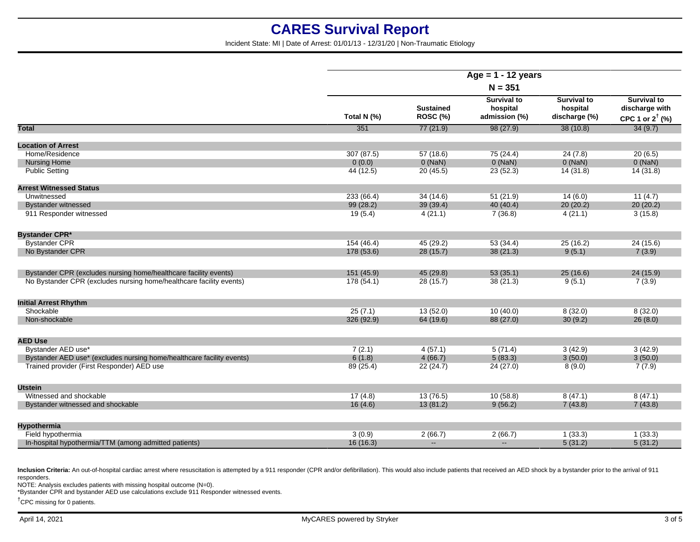Incident State: MI | Date of Arrest: 01/01/13 - 12/31/20 | Non-Traumatic Etiology

|                                                                       | Age = $1 - 12$ years<br>$N = 351$ |                              |                                                 |                                                 |                                                                    |
|-----------------------------------------------------------------------|-----------------------------------|------------------------------|-------------------------------------------------|-------------------------------------------------|--------------------------------------------------------------------|
|                                                                       |                                   |                              |                                                 |                                                 |                                                                    |
|                                                                       | Total N (%)                       | <b>Sustained</b><br>ROSC (%) | <b>Survival to</b><br>hospital<br>admission (%) | <b>Survival to</b><br>hospital<br>discharge (%) | <b>Survival to</b><br>discharge with<br>CPC 1 or $2^{\dagger}$ (%) |
| <b>Total</b>                                                          | 351                               | 77(21.9)                     | 98(27.9)                                        | 38(10.8)                                        | 34(9.7)                                                            |
| <b>Location of Arrest</b>                                             |                                   |                              |                                                 |                                                 |                                                                    |
| Home/Residence                                                        | 307 (87.5)                        | 57(18.6)                     | 75 (24.4)                                       | 24(7.8)                                         | 20(6.5)                                                            |
| <b>Nursing Home</b>                                                   | 0(0.0)                            | $0$ (NaN)                    | 0(NaN)                                          | $0$ (NaN)                                       | $0$ (NaN)                                                          |
| <b>Public Setting</b>                                                 | 44 (12.5)                         | 20(45.5)                     | 23(52.3)                                        | 14(31.8)                                        | 14(31.8)                                                           |
| <b>Arrest Witnessed Status</b>                                        |                                   |                              |                                                 |                                                 |                                                                    |
| Unwitnessed                                                           | 233 (66.4)                        | 34(14.6)                     | 51(21.9)                                        | 14(6.0)                                         | 11(4.7)                                                            |
| <b>Bystander witnessed</b>                                            | 99 (28.2)                         | 39 (39.4)                    | 40 (40.4)                                       | 20(20.2)                                        | 20(20.2)                                                           |
| 911 Responder witnessed                                               | 19(5.4)                           | 4(21.1)                      | 7(36.8)                                         | 4(21.1)                                         | 3(15.8)                                                            |
|                                                                       |                                   |                              |                                                 |                                                 |                                                                    |
| <b>Bystander CPR*</b>                                                 |                                   |                              |                                                 |                                                 |                                                                    |
| <b>Bystander CPR</b>                                                  | 154(46.4)                         | 45 (29.2)                    | 53(34.4)                                        | 25(16.2)                                        | 24 (15.6)                                                          |
| No Bystander CPR                                                      | 178 (53.6)                        | 28(15.7)                     | 38(21.3)                                        | 9(5.1)                                          | 7(3.9)                                                             |
| Bystander CPR (excludes nursing home/healthcare facility events)      | 151(45.9)                         | 45 (29.8)                    | 53(35.1)                                        | 25(16.6)                                        | 24(15.9)                                                           |
| No Bystander CPR (excludes nursing home/healthcare facility events)   | 178(54.1)                         | 28 (15.7)                    | 38(21.3)                                        | 9(5.1)                                          | 7(3.9)                                                             |
|                                                                       |                                   |                              |                                                 |                                                 |                                                                    |
| <b>Initial Arrest Rhythm</b>                                          |                                   |                              |                                                 |                                                 |                                                                    |
| Shockable                                                             | 25(7.1)                           | 13(52.0)                     | 10(40.0)                                        | 8(32.0)                                         | 8(32.0)                                                            |
| Non-shockable                                                         | 326 (92.9)                        | 64 (19.6)                    | 88 (27.0)                                       | 30(9.2)                                         | 26(8.0)                                                            |
| <b>AED Use</b>                                                        |                                   |                              |                                                 |                                                 |                                                                    |
| Bystander AED use*                                                    | 7(2.1)                            | 4(57.1)                      | 5(71.4)                                         | 3(42.9)                                         | 3(42.9)                                                            |
| Bystander AED use* (excludes nursing home/healthcare facility events) | 6(1.8)                            | 4(66.7)                      | 5(83.3)                                         | 3(50.0)                                         | 3(50.0)                                                            |
| Trained provider (First Responder) AED use                            | 89 (25.4)                         | 22 (24.7)                    | 24(27.0)                                        | 8(9.0)                                          | 7(7.9)                                                             |
|                                                                       |                                   |                              |                                                 |                                                 |                                                                    |
| <b>Utstein</b>                                                        |                                   |                              |                                                 |                                                 |                                                                    |
| Witnessed and shockable                                               | 17(4.8)                           | 13(76.5)                     | 10(58.8)                                        | 8(47.1)                                         | 8(47.1)                                                            |
| Bystander witnessed and shockable                                     | 16(4.6)                           | 13(81.2)                     | 9(56.2)                                         | 7(43.8)                                         | 7(43.8)                                                            |
| <b>Hypothermia</b>                                                    |                                   |                              |                                                 |                                                 |                                                                    |
| Field hypothermia                                                     | 3(0.9)                            | 2(66.7)                      | 2(66.7)                                         | 1(33.3)                                         | 1(33.3)                                                            |
| In-hospital hypothermia/TTM (among admitted patients)                 | 16(16.3)                          | $\sim$                       | $\sim$                                          | 5(31.2)                                         | 5(31.2)                                                            |
|                                                                       |                                   |                              |                                                 |                                                 |                                                                    |

Inclusion Criteria: An out-of-hospital cardiac arrest where resuscitation is attempted by a 911 responder (CPR and/or defibrillation). This would also include patients that received an AED shock by a bystander prior to the responders.

NOTE: Analysis excludes patients with missing hospital outcome (N=0).

\*Bystander CPR and bystander AED use calculations exclude 911 Responder witnessed events.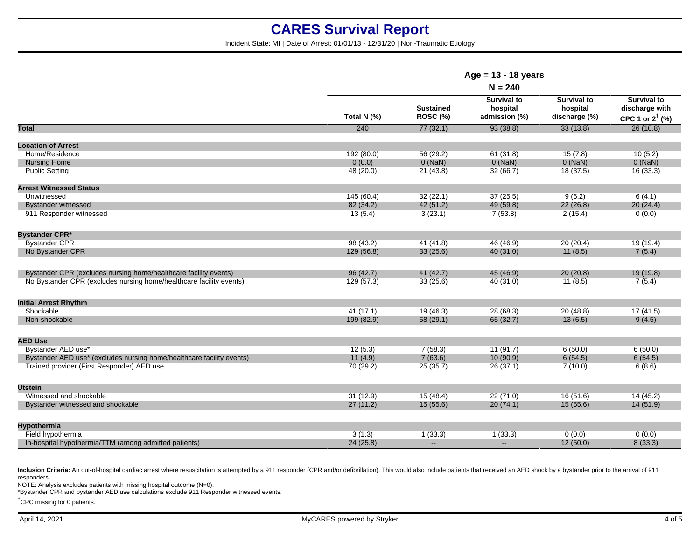Incident State: MI | Date of Arrest: 01/01/13 - 12/31/20 | Non-Traumatic Etiology

|                                                                       | Age = $13 - 18$ years<br>$N = 240$ |                              |                                                 |                                                 |                                                                    |
|-----------------------------------------------------------------------|------------------------------------|------------------------------|-------------------------------------------------|-------------------------------------------------|--------------------------------------------------------------------|
|                                                                       |                                    |                              |                                                 |                                                 |                                                                    |
|                                                                       | Total N (%)                        | <b>Sustained</b><br>ROSC (%) | <b>Survival to</b><br>hospital<br>admission (%) | <b>Survival to</b><br>hospital<br>discharge (%) | <b>Survival to</b><br>discharge with<br>CPC 1 or $2^{\dagger}$ (%) |
| Total                                                                 | 240                                | 77(32.1)                     | 93(38.8)                                        | 33(13.8)                                        | 26(10.8)                                                           |
| <b>Location of Arrest</b>                                             |                                    |                              |                                                 |                                                 |                                                                    |
| Home/Residence                                                        | 192 (80.0)                         | 56 (29.2)                    | 61(31.8)                                        | 15(7.8)                                         | 10(5.2)                                                            |
| <b>Nursing Home</b>                                                   | 0(0.0)                             | $0$ (NaN)                    | $0$ (NaN)                                       | $0$ (NaN)                                       | $0$ (NaN)                                                          |
| <b>Public Setting</b>                                                 | 48 (20.0)                          | 21(43.8)                     | 32(66.7)                                        | 18(37.5)                                        | 16(33.3)                                                           |
| <b>Arrest Witnessed Status</b>                                        |                                    |                              |                                                 |                                                 |                                                                    |
| Unwitnessed                                                           | 145(60.4)                          | 32(22.1)                     | 37(25.5)                                        | 9(6.2)                                          | 6(4.1)                                                             |
| <b>Bystander witnessed</b>                                            | 82 (34.2)                          | 42(51.2)                     | 49 (59.8)                                       | 22(26.8)                                        | 20(24.4)                                                           |
| 911 Responder witnessed                                               | 13(5.4)                            | 3(23.1)                      | 7(53.8)                                         | 2(15.4)                                         | 0(0.0)                                                             |
| <b>Bystander CPR*</b>                                                 |                                    |                              |                                                 |                                                 |                                                                    |
| <b>Bystander CPR</b>                                                  | 98(43.2)                           | 41(41.8)                     | 46 (46.9)                                       | 20(20.4)                                        | 19(19.4)                                                           |
| No Bystander CPR                                                      | 129 (56.8)                         | 33(25.6)                     | 40 (31.0)                                       | 11(8.5)                                         | 7(5.4)                                                             |
| Bystander CPR (excludes nursing home/healthcare facility events)      | 96 (42.7)                          | 41(42.7)                     | 45 (46.9)                                       | 20(20.8)                                        | 19 (19.8)                                                          |
| No Bystander CPR (excludes nursing home/healthcare facility events)   | 129(57.3)                          | 33(25.6)                     | 40 (31.0)                                       | 11(8.5)                                         | 7(5.4)                                                             |
| <b>Initial Arrest Rhythm</b>                                          |                                    |                              |                                                 |                                                 |                                                                    |
| Shockable                                                             | 41(17.1)                           | 19(46.3)                     | 28 (68.3)                                       | 20(48.8)                                        | 17(41.5)                                                           |
| Non-shockable                                                         | 199 (82.9)                         | 58 (29.1)                    | 65 (32.7)                                       | 13(6.5)                                         | 9(4.5)                                                             |
| <b>AED Use</b>                                                        |                                    |                              |                                                 |                                                 |                                                                    |
| Bystander AED use*                                                    | 12(5.3)                            | 7(58.3)                      | 11(91.7)                                        | 6(50.0)                                         | 6(50.0)                                                            |
| Bystander AED use* (excludes nursing home/healthcare facility events) | 11(4.9)                            | 7(63.6)                      | 10(90.9)                                        | 6(54.5)                                         | 6(54.5)                                                            |
| Trained provider (First Responder) AED use                            | 70 (29.2)                          | 25(35.7)                     | 26(37.1)                                        | 7(10.0)                                         | 6(8.6)                                                             |
| <b>Utstein</b>                                                        |                                    |                              |                                                 |                                                 |                                                                    |
| Witnessed and shockable                                               | 31(12.9)                           | 15(48.4)                     | 22(71.0)                                        | 16(51.6)                                        | 14(45.2)                                                           |
| Bystander witnessed and shockable                                     | 27(11.2)                           | 15(55.6)                     | 20(74.1)                                        | 15(55.6)                                        | 14(51.9)                                                           |
| Hypothermia                                                           |                                    |                              |                                                 |                                                 |                                                                    |
| Field hypothermia                                                     | 3(1.3)                             | 1(33.3)                      | 1(33.3)                                         | 0(0.0)                                          | 0(0.0)                                                             |
| In-hospital hypothermia/TTM (among admitted patients)                 | 24(25.8)                           | $\mathbf{u}$                 | $\sim$                                          | 12(50.0)                                        | 8(33.3)                                                            |
|                                                                       |                                    |                              |                                                 |                                                 |                                                                    |

Inclusion Criteria: An out-of-hospital cardiac arrest where resuscitation is attempted by a 911 responder (CPR and/or defibrillation). This would also include patients that received an AED shock by a bystander prior to the responders.

NOTE: Analysis excludes patients with missing hospital outcome (N=0).

\*Bystander CPR and bystander AED use calculations exclude 911 Responder witnessed events.